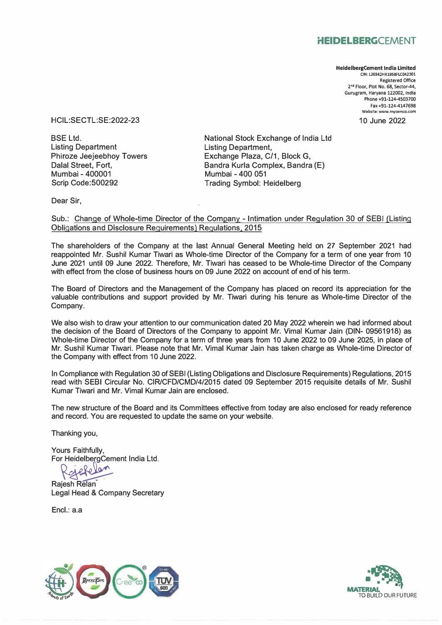## **HEIDELBERGCEMENT**

**HeidelbergCement India Limited CIN: L26942HR1958FLC042301 Registered Office 2 ° • Floor, Plot No. 68, Sector-44, Gurugram, Haryana 122002, India Phone +91-124-4503700 Fax +91-124-4147698 Website: www.mycemco.com** 

10 June 2022

HCIL:SECTL:SE:2022-23

BSE Ltd. Listing Department Phiroze Jeejeebhoy Towers Dalal Street, Fort, Mumbai - 400001 Scrip Code:500292

National Stock Exchange of India Ltd Listing Department, Exchange Plaza, C/1, Block G, Bandra Kurla Complex, Bandra (E) Mumbai - 400 051 Trading Symbol: Heidelberg

Dear Sir,

Sub.: Change of Whole-time Director of the Company - Intimation under Regulation 30 of SEBI (Listing Obligations and Disclosure Requirements) Regulations, 2015

The shareholders of the Company at the last Annual General Meeting held on 27 September 2021 had reappointed Mr. Sushil Kumar Tiwari as Whole-time Director of the Company for a term of one year from 10 June 2021 until 09 June 2022. Therefore, Mr. Tiwari has ceased to be Whole-time Director of the Company with effect from the close of business hours on 09 June 2022 on account of end of his term.

The Board of Directors and the Management of the Company has placed on record its appreciation for the valuable contributions and support provided by Mr. Tiwari during his tenure as Whole-time Director of the Company.

We also wish to draw your attention to our communication dated 20 May 2022 wherein we had informed about the decision of the Board of Directors of the Company to appoint Mr. Vimal Kumar Jain (DIN- 09561918) as Whole-time Director of the Company for a term of three years from 10 June 2022 to 09 June 2025, in place of Mr. Sushil Kumar Tiwari. Please note that Mr. Vimal Kumar Jain has taken charge as Whole-time Director of the Company with effect from 10 June 2022.

In Compliance with Regulation 30 of SEBI (Listing Obligations and Disclosure Requirements) Regulations, 2015 read with SEBI Circular No. CIR/CFD/CMD/4/2015 dated 09 September 2015 requisite details of Mr. Sushil Kumar Tiwari and Mr. Vimal Kumar Jain are enclosed.

The new structure of the Board and its Committees effective from today are also enclosed for ready reference and record. You are requested to update the same on your website.

Thanking you,

Yours Faithfully, For HeidelbergCement India Ltd.<br>  $\bigcap_{n=0}^{\infty} \bigcap_{n=0}^{\infty} \bigcap_{n=0}^{\infty} \bigcap_{n=0}^{\infty}$ 

Rajesh Relan Legal Head & Company Secretary

Encl.: a.a



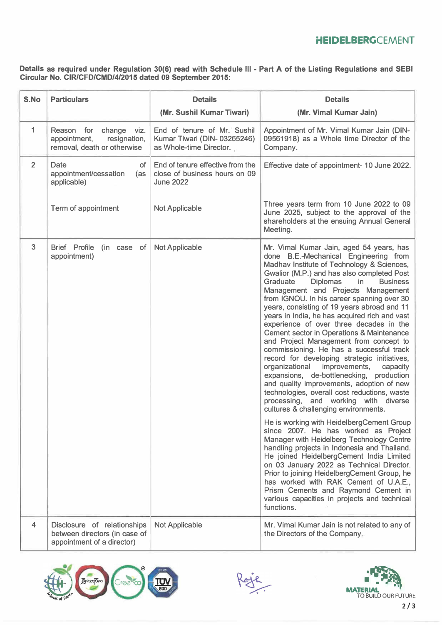### **HEIDELBERGCEMENT**

**Details as required under Regulation 30(6) read with Schedule Ill - Part A of the Listing Regulations and SEBI Circular No. CIR/CFD/CMD/4/2015 dated 09 September 2015:** 

| S.No         | <b>Particulars</b>                                                                         | <b>Details</b>                                                                        | <b>Details</b>                                                                                                                                                                                                                                                                                                                                                                                                                                                                                                                                                                                                                                                                                                                                                                                                                                                                                                                                                                                                                                                                                                                                                                                                                                                                                                                                                                                                  |  |
|--------------|--------------------------------------------------------------------------------------------|---------------------------------------------------------------------------------------|-----------------------------------------------------------------------------------------------------------------------------------------------------------------------------------------------------------------------------------------------------------------------------------------------------------------------------------------------------------------------------------------------------------------------------------------------------------------------------------------------------------------------------------------------------------------------------------------------------------------------------------------------------------------------------------------------------------------------------------------------------------------------------------------------------------------------------------------------------------------------------------------------------------------------------------------------------------------------------------------------------------------------------------------------------------------------------------------------------------------------------------------------------------------------------------------------------------------------------------------------------------------------------------------------------------------------------------------------------------------------------------------------------------------|--|
|              |                                                                                            | (Mr. Sushil Kumar Tiwari)                                                             | (Mr. Vimal Kumar Jain)                                                                                                                                                                                                                                                                                                                                                                                                                                                                                                                                                                                                                                                                                                                                                                                                                                                                                                                                                                                                                                                                                                                                                                                                                                                                                                                                                                                          |  |
| $\mathbf{1}$ | Reason for<br>change viz.<br>appointment,<br>resignation,<br>removal, death or otherwise   | End of tenure of Mr. Sushil<br>Kumar Tiwari (DIN-03265246)<br>as Whole-time Director. | Appointment of Mr. Vimal Kumar Jain (DIN-<br>09561918) as a Whole time Director of the<br>Company.                                                                                                                                                                                                                                                                                                                                                                                                                                                                                                                                                                                                                                                                                                                                                                                                                                                                                                                                                                                                                                                                                                                                                                                                                                                                                                              |  |
| 2            | Date<br>of<br>appointment/cessation<br>(as<br>applicable)                                  | End of tenure effective from the<br>close of business hours on 09<br><b>June 2022</b> | Effective date of appointment- 10 June 2022.                                                                                                                                                                                                                                                                                                                                                                                                                                                                                                                                                                                                                                                                                                                                                                                                                                                                                                                                                                                                                                                                                                                                                                                                                                                                                                                                                                    |  |
|              | Term of appointment                                                                        | <b>Not Applicable</b>                                                                 | Three years term from 10 June 2022 to 09<br>June 2025, subject to the approval of the<br>shareholders at the ensuing Annual General<br>Meeting.                                                                                                                                                                                                                                                                                                                                                                                                                                                                                                                                                                                                                                                                                                                                                                                                                                                                                                                                                                                                                                                                                                                                                                                                                                                                 |  |
| 3            | Brief Profile (in case of<br>appointment)                                                  | <b>Not Applicable</b>                                                                 | Mr. Vimal Kumar Jain, aged 54 years, has<br>done B.E.-Mechanical Engineering from<br>Madhav Institute of Technology & Sciences,<br>Gwalior (M.P.) and has also completed Post<br>Graduate<br><b>Diplomas</b><br>in<br><b>Business</b><br>Management and Projects Management<br>from IGNOU. In his career spanning over 30<br>years, consisting of 19 years abroad and 11<br>years in India, he has acquired rich and vast<br>experience of over three decades in the<br><b>Cement sector in Operations &amp; Maintenance</b><br>and Project Management from concept to<br>commissioning. He has a successful track<br>record for developing strategic initiatives,<br>organizational improvements,<br>capacity<br>expansions, de-bottlenecking, production<br>and quality improvements, adoption of new<br>technologies, overall cost reductions, waste<br>processing, and working with diverse<br>cultures & challenging environments.<br>He is working with HeidelbergCement Group<br>since 2007. He has worked as Project<br>Manager with Heidelberg Technology Centre<br>handling projects in Indonesia and Thailand.<br>He joined HeidelbergCement India Limited<br>on 03 January 2022 as Technical Director.<br>Prior to joining HeidelbergCement Group, he<br>has worked with RAK Cement of U.A.E.,<br>Prism Cements and Raymond Cement in<br>various capacities in projects and technical<br>functions. |  |
| 4            | Disclosure of relationships<br>between directors (in case of<br>appointment of a director) | <b>Not Applicable</b>                                                                 | Mr. Vimal Kumar Jain is not related to any of<br>the Directors of the Company.                                                                                                                                                                                                                                                                                                                                                                                                                                                                                                                                                                                                                                                                                                                                                                                                                                                                                                                                                                                                                                                                                                                                                                                                                                                                                                                                  |  |





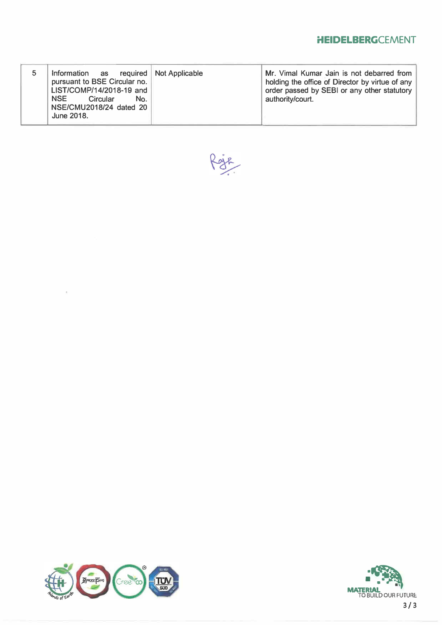## **HEIDELBERGCEMENT**

|  | Information as required Not Applicable<br>pursuant to BSE Circular no.<br>LIST/COMP/14/2018-19 and<br><b>NSE</b><br>Circular<br>No.<br>NSE/CMU2018/24 dated 20<br>June 2018. |  | Mr. Vimal Kumar Jain is not debarred from<br>holding the office of Director by virtue of any<br>order passed by SEBI or any other statutory<br>authority/court. |
|--|------------------------------------------------------------------------------------------------------------------------------------------------------------------------------|--|-----------------------------------------------------------------------------------------------------------------------------------------------------------------|
|--|------------------------------------------------------------------------------------------------------------------------------------------------------------------------------|--|-----------------------------------------------------------------------------------------------------------------------------------------------------------------|





 $\overline{\mathbb{C}}$ 



3/3